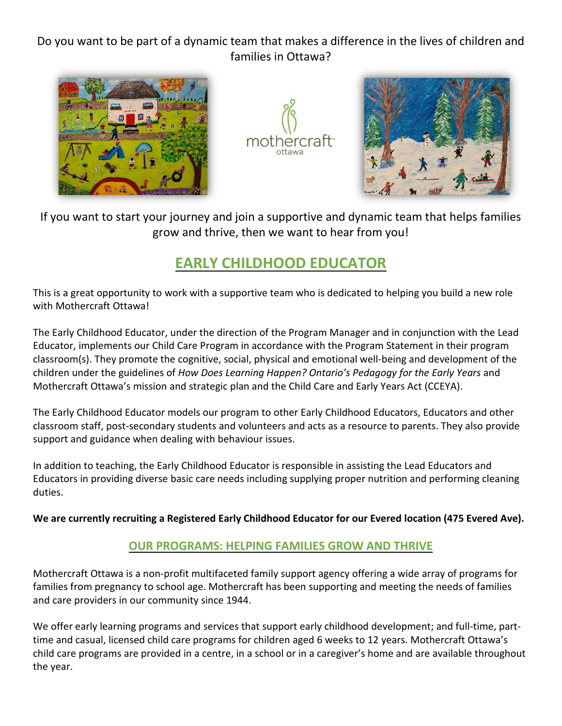Do you want to be part of a dynamic team that makes a difference in the lives of children and families in Ottawa?







 If you want to start your journey and join a supportive and dynamic team that helps families grow and thrive, then we want to hear from you!

# **EARLY CHILDHOOD EDUCATOR**

This is a great opportunity to work with a supportive team who is dedicated to helping you build a new role with Mothercraft Ottawa!

The Early Childhood Educator, under the direction of the Program Manager and in conjunction with the Lead Educator, implements our Child Care Program in accordance with the Program Statement in their program classroom(s). They promote the cognitive, social, physical and emotional well-being and development of the children under the guidelines of *How Does Learning Happen? Ontario's Pedagogy for the Early Years* and Mothercraft Ottawa's mission and strategic plan and the Child Care and Early Years Act (CCEYA).

The Early Childhood Educator models our program to other Early Childhood Educators, Educators and other classroom staff, post-secondary students and volunteers and acts as a resource to parents. They also provide support and guidance when dealing with behaviour issues.

In addition to teaching, the Early Childhood Educator is responsible in assisting the Lead Educators and Educators in providing diverse basic care needs including supplying proper nutrition and performing cleaning duties.

**We are currently recruiting a Registered Early Childhood Educator for our Evered location (475 Evered Ave).**

## **OUR PROGRAMS: HELPING FAMILIES GROW AND THRIVE**

Mothercraft Ottawa is a non-profit multifaceted family support agency offering a wide array of programs for families from pregnancy to school age. Mothercraft has been supporting and meeting the needs of families and care providers in our community since 1944.

We offer early learning programs and services that support early childhood development; and full-time, parttime and casual, licensed child care programs for children aged 6 weeks to 12 years. Mothercraft Ottawa's child care programs are provided in a centre, in a school or in a caregiver's home and are available throughout the year.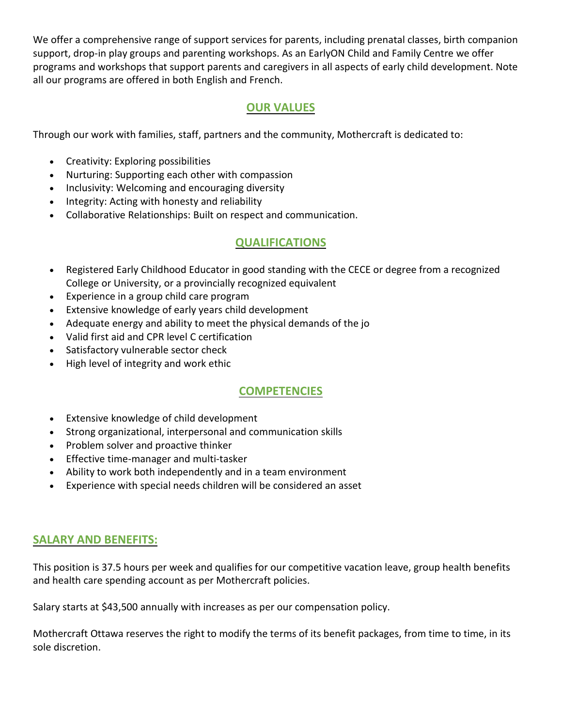We offer a comprehensive range of support services for parents, including prenatal classes, birth companion support, drop-in play groups and parenting workshops. As an EarlyON Child and Family Centre we offer programs and workshops that support parents and caregivers in all aspects of early child development. Note all our programs are offered in both English and French.

### **OUR VALUES**

Through our work with families, staff, partners and the community, Mothercraft is dedicated to:

- Creativity: Exploring possibilities
- Nurturing: Supporting each other with compassion
- Inclusivity: Welcoming and encouraging diversity
- Integrity: Acting with honesty and reliability
- Collaborative Relationships: Built on respect and communication.

#### **QUALIFICATIONS**

- Registered Early Childhood Educator in good standing with the CECE or degree from a recognized College or University, or a provincially recognized equivalent
- Experience in a group child care program
- Extensive knowledge of early years child development
- Adequate energy and ability to meet the physical demands of the jo
- Valid first aid and CPR level C certification
- Satisfactory vulnerable sector check
- High level of integrity and work ethic

## **COMPETENCIES**

- Extensive knowledge of child development
- Strong organizational, interpersonal and communication skills
- Problem solver and proactive thinker
- Effective time-manager and multi-tasker
- Ability to work both independently and in a team environment
- Experience with special needs children will be considered an asset

#### **SALARY AND BENEFITS:**

This position is 37.5 hours per week and qualifies for our competitive vacation leave, group health benefits and health care spending account as per Mothercraft policies.

Salary starts at \$43,500 annually with increases as per our compensation policy.

Mothercraft Ottawa reserves the right to modify the terms of its benefit packages, from time to time, in its sole discretion.